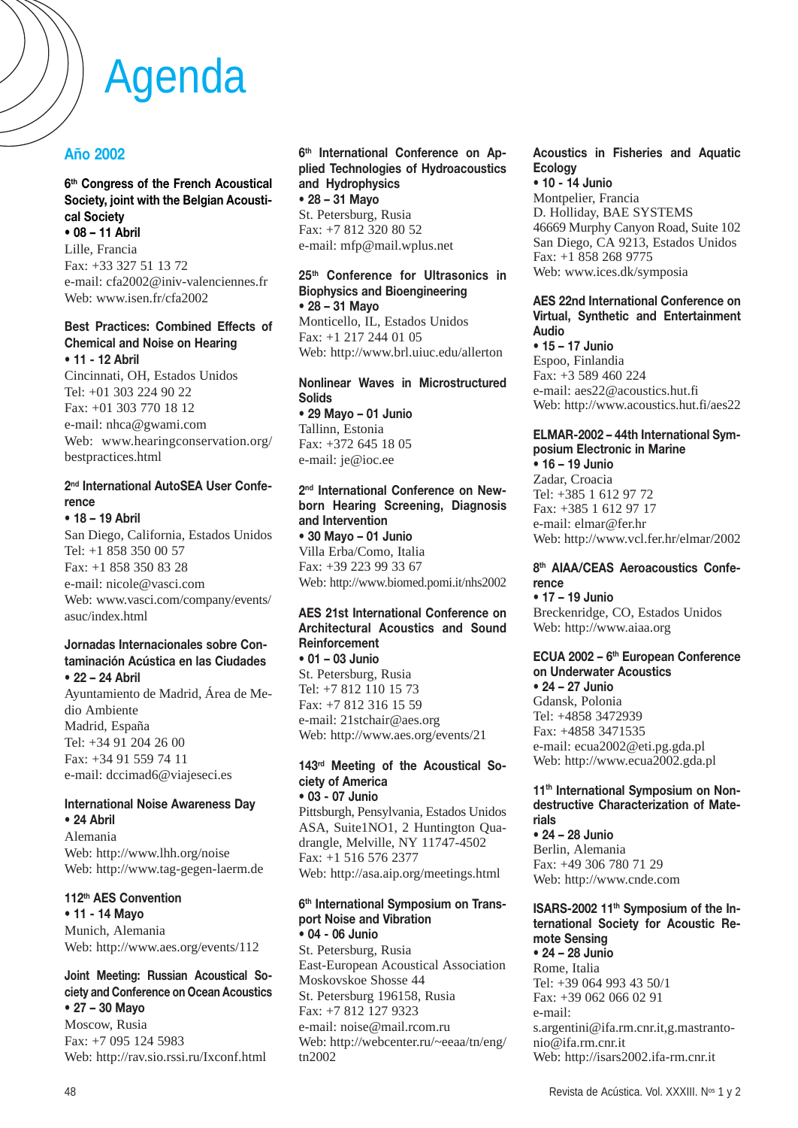# **Año 2002**

#### **6th Congress of the French Acoustical Society, joint with the Belgian Acoustical Society • 08 – 11 Abril**

Lille, Francia Fax: +33 327 51 13 72 e-mail: cfa2002@iniv-valenciennes.fr Web: www.isen.fr/cfa2002

#### **Best Practices: Combined Effects of Chemical and Noise on Hearing • 11 - 12 Abril**

Cincinnati, OH, Estados Unidos Tel: +01 303 224 90 22 Fax: +01 303 770 18 12 e-mail: nhca@gwami.com Web: www.hearingconservation.org/ bestpractices.html

## **2nd International AutoSEA User Conference**

**• 18 – 19 Abril** San Diego, California, Estados Unidos Tel: +1 858 350 00 57 Fax: +1 858 350 83 28 e-mail: nicole@vasci.com Web: www.vasci.com/company/events/ asuc/index.html

#### **Jornadas Internacionales sobre Contaminación Acústica en las Ciudades • 22 – 24 Abril**

Ayuntamiento de Madrid, Área de Medio Ambiente Madrid, España Tel: +34 91 204 26 00 Fax: +34 91 559 74 11 e-mail: dccimad6@viajeseci.es

#### **International Noise Awareness Day • 24 Abril**

Alemania Web: http://www.lhh.org/noise Web: http://www.tag-gegen-laerm.de

## **112th AES Convention**

**• 11 - 14 Mayo** Munich, Alemania Web: http://www.aes.org/events/112

#### **Joint Meeting: Russian Acoustical Society and Conference on Ocean Acoustics • 27 – 30 Mayo**

Moscow, Rusia Fax: +7 095 124 5983 Web: http://rav.sio.rssi.ru/Ixconf.html **6th International Conference on Applied Technologies of Hydroacoustics and Hydrophysics • 28 – 31 Mayo** St. Petersburg, Rusia Fax: +7 812 320 80 52 e-mail: mfp@mail.wplus.net

#### **25th Conference for Ultrasonics in Biophysics and Bioengineering • 28 – 31 Mayo** Monticello, IL, Estados Unidos

Fax: +1 217 244 01 05 Web: http://www.brl.uiuc.edu/allerton

#### **Nonlinear Waves in Microstructured Solids • 29 Mayo – 01 Junio** Tallinn, Estonia Fax: +372 645 18 05 e-mail: je@ioc.ee

#### **2nd International Conference on Newborn Hearing Screening, Diagnosis and Intervention • 30 Mayo – 01 Junio** Villa Erba/Como, Italia

Fax: +39 223 99 33 67 Web: http://www.biomed.pomi.it/nhs2002

#### **AES 21st International Conference on Architectural Acoustics and Sound Reinforcement • 01 – 03 Junio**

St. Petersburg, Rusia Tel: +7 812 110 15 73 Fax: +7 812 316 15 59 e-mail: 21stchair@aes.org Web: http://www.aes.org/events/21

# **143rd Meeting of the Acoustical Society of America**

**• 03 - 07 Junio** Pittsburgh, Pensylvania, Estados Unidos ASA, Suite1NO1, 2 Huntington Quadrangle, Melville, NY 11747-4502 Fax: +1 516 576 2377 Web: http://asa.aip.org/meetings.html

#### **6th International Symposium on Transport Noise and Vibration • 04 - 06 Junio**

St. Petersburg, Rusia East-European Acoustical Association Moskovskoe Shosse 44 St. Petersburg 196158, Rusia Fax: +7 812 127 9323 e-mail: noise@mail.rcom.ru Web: http://webcenter.ru/~eeaa/tn/eng/ tn2002

## **Acoustics in Fisheries and Aquatic Ecology**

**• 10 - 14 Junio** Montpelier, Francia D. Holliday, BAE SYSTEMS 46669 Murphy Canyon Road, Suite 102 San Diego, CA 9213, Estados Unidos Fax: +1 858 268 9775 Web: www.ices.dk/symposia

#### **AES 22nd International Conference on Virtual, Synthetic and Entertainment Audio**

**• 15 – 17 Junio** Espoo, Finlandia Fax: +3 589 460 224 e-mail: aes22@acoustics.hut.fi Web: http://www.acoustics.hut.fi/aes22

#### **ELMAR-2002 – 44th International Symposium Electronic in Marine • 16 – 19 Junio**

Zadar, Croacia Tel: +385 1 612 97 72 Fax: +385 1 612 97 17 e-mail: elmar@fer.hr Web: http://www.vcl.fer.hr/elmar/2002

#### **8th AIAA/CEAS Aeroacoustics Conference**

**• 17 – 19 Junio** Breckenridge, CO, Estados Unidos Web: http://www.aiaa.org

# **ECUA 2002 – 6th European Conference on Underwater Acoustics**

**• 24 – 27 Junio** Gdansk, Polonia Tel: +4858 3472939 Fax: +4858 3471535 e-mail: ecua2002@eti.pg.gda.pl Web: http://www.ecua2002.gda.pl

#### **11th International Symposium on Nondestructive Characterization of Materials**

**• 24 – 28 Junio** Berlin, Alemania Fax: +49 306 780 71 29 Web: http://www.cnde.com

#### **ISARS-2002 11th Symposium of the International Society for Acoustic Remote Sensing • 24 – 28 Junio**

Rome, Italia Tel: +39 064 993 43 50/1 Fax: +39 062 066 02 91 e-mail: s.argentini@ifa.rm.cnr.it,g.mastrantonio@ifa.rm.cnr.it Web: http://isars2002.ifa-rm.cnr.it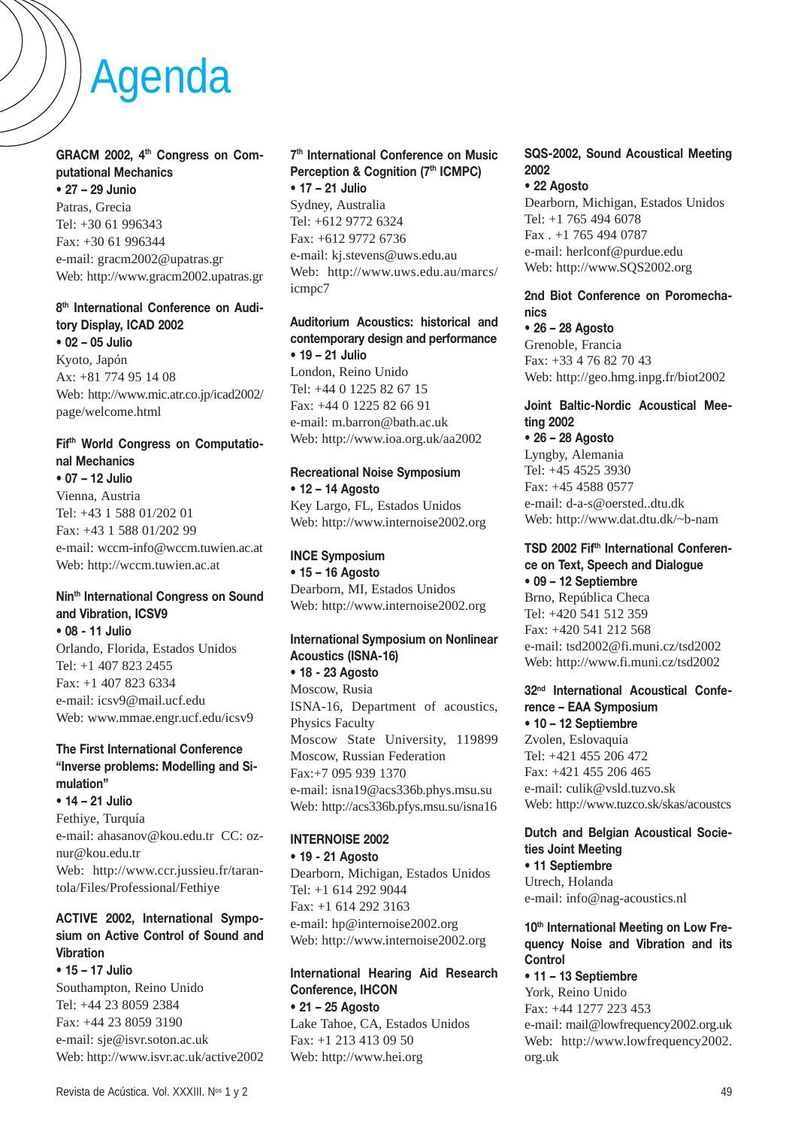# **GRACM 2002, 4th Congress on Computational Mechanics**

**• 27 – 29 Junio** Patras, Grecia Tel: +30 61 996343 Fax: +30 61 996344 e-mail: gracm2002@upatras.gr Web: http://www.gracm2002.upatras.gr

#### **8th International Conference on Auditory Display, ICAD 2002 • 02 – 05 Julio**

Kyoto, Japón Ax: +81 774 95 14 08 Web: http://www.mic.atr.co.jp/icad2002/ page/welcome.html

# **Fifth World Congress on Computational Mechanics**

**• 07 – 12 Julio** Vienna, Austria Tel: +43 1 588 01/202 01 Fax: +43 1 588 01/202 99 e-mail: wccm-info@wccm.tuwien.ac.at Web: http://wccm.tuwien.ac.at

# **Ninth International Congress on Sound and Vibration, ICSV9**

**• 08 - 11 Julio** Orlando, Florida, Estados Unidos Tel: +1 407 823 2455 Fax: +1 407 823 6334 e-mail: icsv9@mail.ucf.edu Web: www.mmae.engr.ucf.edu/icsv9

# **The First International Conference "Inverse problems: Modelling and Simulation"**

**• 14 – 21 Julio** Fethiye, Turquía e-mail: ahasanov@kou.edu.tr CC: oznur@kou.edu.tr Web: http://www.ccr.jussieu.fr/tarantola/Files/Professional/Fethiye

# **ACTIVE 2002, International Symposium on Active Control of Sound and Vibration**

**• 15 – 17 Julio** Southampton, Reino Unido Tel: +44 23 8059 2384 Fax: +44 23 8059 3190 e-mail: sje@isvr.soton.ac.uk Web: http://www.isvr.ac.uk/active2002

## **7th International Conference on Music Perception & Cognition (7th ICMPC) • 17 – 21 Julio**

Sydney, Australia Tel: +612 9772 6324 Fax: +612 9772 6736 e-mail: kj.stevens@uws.edu.au Web: http://www.uws.edu.au/marcs/ icmpc7

### **Auditorium Acoustics: historical and contemporary design and performance • 19 – 21 Julio**

London, Reino Unido Tel: +44 0 1225 82 67 15 Fax: +44 0 1225 82 66 91 e-mail: m.barron@bath.ac.uk Web: http://www.ioa.org.uk/aa2002

# **Recreational Noise Symposium • 12 – 14 Agosto**

Key Largo, FL, Estados Unidos Web: http://www.internoise2002.org

# **INCE Symposium**

**• 15 – 16 Agosto** Dearborn, MI, Estados Unidos Web: http://www.internoise2002.org

## **International Symposium on Nonlinear Acoustics (ISNA-16)**

**• 18 - 23 Agosto** Moscow, Rusia ISNA-16, Department of acoustics, Physics Faculty Moscow State University, 119899 Moscow, Russian Federation Fax:+7 095 939 1370 e-mail: isna19@acs336b.phys.msu.su Web: http://acs336b.pfys.msu.su/isna16

# **INTERNOISE 2002**

**• 19 - 21 Agosto** Dearborn, Michigan, Estados Unidos Tel: +1 614 292 9044 Fax: +1 614 292 3163 e-mail: hp@internoise2002.org Web: http://www.internoise2002.org

#### **International Hearing Aid Research Conference, IHCON • 21 – 25 Agosto**

Lake Tahoe, CA, Estados Unidos Fax: +1 213 413 09 50 Web: http://www.hei.org

## **SQS-2002, Sound Acoustical Meeting 2002**

**• 22 Agosto** Dearborn, Michigan, Estados Unidos Tel: +1 765 494 6078 Fax . +1 765 494 0787 e-mail: herlconf@purdue.edu Web: http://www.SQS2002.org

## **2nd Biot Conference on Poromechanics**

**• 26 – 28 Agosto** Grenoble, Francia Fax: +33 4 76 82 70 43 Web: http://geo.hmg.inpg.fr/biot2002

# **Joint Baltic-Nordic Acoustical Meeting 2002**

# **• 26 – 28 Agosto**

Lyngby, Alemania Tel: +45 4525 3930 Fax: +45 4588 0577 e-mail: d-a-s@oersted..dtu.dk Web: http://www.dat.dtu.dk/~b-nam

# **TSD 2002 Fifth International Conference on Text, Speech and Dialogue**

**• 09 – 12 Septiembre** Brno, República Checa Tel: +420 541 512 359 Fax: +420 541 212 568 e-mail: tsd2002@fi.muni.cz/tsd2002 Web: http://www.fi.muni.cz/tsd2002

## **32nd International Acoustical Conference – EAA Symposium • 10 – 12 Septiembre**

Zvolen, Eslovaquia Tel: +421 455 206 472 Fax: +421 455 206 465 e-mail: culik@vsld.tuzvo.sk Web: http://www.tuzco.sk/skas/acoustcs

# **Dutch and Belgian Acoustical Societies Joint Meeting**

**• 11 Septiembre** Utrech, Holanda e-mail: info@nag-acoustics.nl

## 10<sup>th</sup> International Meeting on Low Fre**quency Noise and Vibration and its Control**

**• 11 – 13 Septiembre** York, Reino Unido Fax: +44 1277 223 453 e-mail: mail@lowfrequency2002.org.uk Web: http://www.lowfrequency2002. org.uk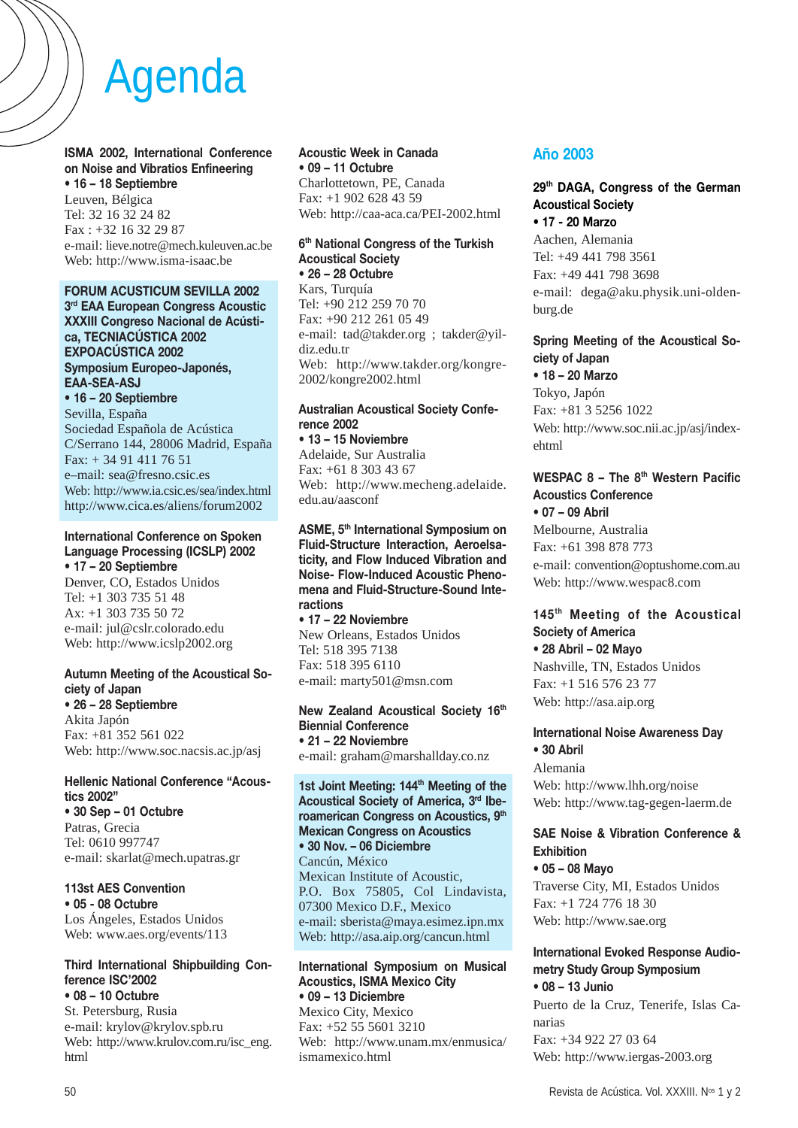**ISMA 2002, International Conference on Noise and Vibratios Enfineering • 16 – 18 Septiembre** Leuven, Bélgica Tel: 32 16 32 24 82

Fax : +32 16 32 29 87 e-mail: lieve.notre@mech.kuleuven.ac.be Web: http://www.isma-isaac.be

## **FORUM ACUSTICUM SEVILLA 2002**

**3rd EAA European Congress Acoustic XXXIII Congreso Nacional de Acústica, TECNIACÚSTICA 2002 EXPOACÚSTICA 2002 Symposium Europeo-Japonés, EAA-SEA-ASJ**

**• 16 – 20 Septiembre** Sevilla, España Sociedad Española de Acústica C/Serrano 144, 28006 Madrid, España Fax: + 34 91 411 76 51 e–mail: sea@fresno.csic.es Web: http://www.ia.csic.es/sea/index.html http://www.cica.es/aliens/forum2002

#### **International Conference on Spoken Language Processing (ICSLP) 2002 • 17 – 20 Septiembre**

Denver, CO, Estados Unidos Tel: +1 303 735 51 48 Ax: +1 303 735 50 72 e-mail: jul@cslr.colorado.edu Web: http://www.icslp2002.org

## **Autumn Meeting of the Acoustical Society of Japan**

**• 26 – 28 Septiembre** Akita Japón Fax: +81 352 561 022 Web: http://www.soc.nacsis.ac.jp/asj

# **Hellenic National Conference "Acoustics 2002"**

**• 30 Sep – 01 Octubre** Patras, Grecia Tel: 0610 997747 e-mail: skarlat@mech.upatras.gr

## **113st AES Convention**

**• 05 - 08 Octubre** Los Ángeles, Estados Unidos Web: www.aes.org/events/113

#### **Third International Shipbuilding Conference ISC'2002 • 08 – 10 Octubre**

St. Petersburg, Rusia e-mail: krylov@krylov.spb.ru Web: http://www.krulov.com.ru/isc\_eng. html

#### **Acoustic Week in Canada • 09 – 11 Octubre** Charlottetown, PE, Canada

Fax: +1 902 628 43 59 Web: http://caa-aca.ca/PEI-2002.html

#### **6th National Congress of the Turkish Acoustical Society • 26 – 28 Octubre**

Kars, Turquía Tel: +90 212 259 70 70 Fax: +90 212 261 05 49 e-mail: tad@takder.org ; takder@yildiz.edu.tr Web: http://www.takder.org/kongre-2002/kongre2002.html

### **Australian Acoustical Society Conference 2002**

**• 13 – 15 Noviembre** Adelaide, Sur Australia Fax: +61 8 303 43 67 Web: http://www.mecheng.adelaide. edu.au/aasconf

**ASME, 5th International Symposium on Fluid-Structure Interaction, Aeroelsaticity, and Flow Induced Vibration and Noise- Flow-Induced Acoustic Phenomena and Fluid-Structure-Sound Interactions**

**• 17 – 22 Noviembre** New Orleans, Estados Unidos Tel: 518 395 7138 Fax: 518 395 6110 e-mail: marty501@msn.com

#### **New Zealand Acoustical Society 16th Biennial Conference • 21 – 22 Noviembre** e-mail: graham@marshallday.co.nz

#### **1st Joint Meeting: 144th Meeting of the Acoustical Society of America, 3rd Iberoamerican Congress on Acoustics, 9th Mexican Congress on Acoustics • 30 Nov. – 06 Diciembre**

Cancún, México Mexican Institute of Acoustic, P.O. Box 75805, Col Lindavista, 07300 Mexico D.F., Mexico e-mail: sberista@maya.esimez.ipn.mx Web: http://asa.aip.org/cancun.html

#### **International Symposium on Musical Acoustics, ISMA Mexico City • 09 – 13 Diciembre** Mexico City, Mexico

Fax: +52 55 5601 3210 Web: http://www.unam.mx/enmusica/ ismamexico.html

# **Año 2003**

# **29th DAGA, Congress of the German Acoustical Society**

**• 17 - 20 Marzo** Aachen, Alemania Tel: +49 441 798 3561 Fax: +49 441 798 3698 e-mail: dega@aku.physik.uni-oldenburg.de

# **Spring Meeting of the Acoustical Society of Japan**

**• 18 – 20 Marzo** Tokyo, Japón Fax: +81 3 5256 1022 Web: http://www.soc.nii.ac.jp/asj/indexehtml

#### **WESPAC 8 – The 8th Western Pacific Acoustics Conference • 07 – 09 Abril**

Melbourne, Australia Fax: +61 398 878 773 e-mail: convention@optushome.com.au Web: http://www.wespac8.com

### **145th Meeting of the Acoustical Society of America • 28 Abril – 02 Mayo**

Nashville, TN, Estados Unidos Fax: +1 516 576 23 77 Web: http://asa.aip.org

## **International Noise Awareness Day • 30 Abril**

Alemania Web: http://www.lhh.org/noise Web: http://www.tag-gegen-laerm.de

## **SAE Noise & Vibration Conference & Exhibition**

**• 05 – 08 Mayo** Traverse City, MI, Estados Unidos Fax: +1 724 776 18 30 Web: http://www.sae.org

## **International Evoked Response Audiometry Study Group Symposium • 08 – 13 Junio**

Puerto de la Cruz, Tenerife, Islas Canarias Fax: +34 922 27 03 64 Web: http://www.iergas-2003.org